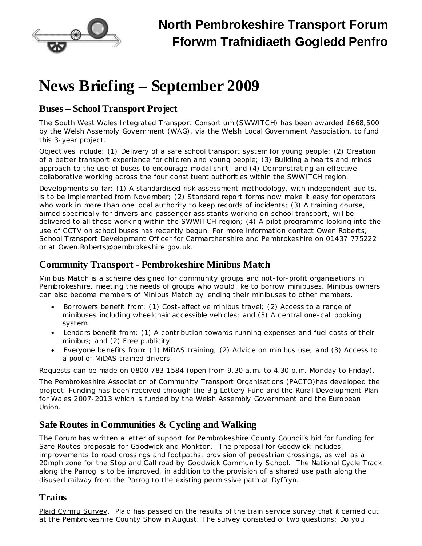

# **News Briefing – September 2009**

### **Buses – School Transport Project**

The South West Wales Integrated Transport Consortium (SWWITCH) has been awarded £668,500 by the Welsh Assembly Government (WAG), via the Welsh Local Government Association, to fund this 3-year project.

Objectives include: (1) Delivery of a safe school transport system for young people; (2) Creation of a better transport experience for children and young people; (3) Building a hearts and minds approach to the use of buses to encourage modal shift; and (4) Demonstrating an effective collaborative working across the four constituent authorities within the SWWITCH region.

Developments so far: (1) A standardised risk assessment methodology, with independent audits, is to be implemented from November; (2) Standard report forms now make it easy for operators who work in more than one local authority to keep records of incidents; (3) A training course, aimed specifically for drivers and passenger assistants working on school transport, will be delivered to all those working within the SWWITCH region; (4) A pilot programme looking into the use of CCTV on school buses has recently begun. For more information contact Owen Roberts, School Transport Development Officer for Carmarthenshire and Pembrokeshire on 01437 775222 or at Owen.Roberts@pembrokeshire.gov.uk.

# **Community Transport - Pembrokeshire Minibus Match**

Minibus Match is a scheme designed for community groups and not-for-profit organisations in Pembrokeshire, meeting the needs of groups who would like to borrow minibuses. Minibus owners can also become members of Minibus Match by lending their minibuses to other members.

- Borrowers benefit from: (1) Cost-effective minibus travel; (2) Access to a range of minibuses including wheelchair accessible vehicles; and (3) A central one-call booking system.
- · Lenders benefit from: (1) A contribution towards running expenses and fuel costs of their minibus; and (2) Free publicity.
- · Everyone benefits from: (1) MiDAS training; (2) Advice on minibus use; and (3) Access to a pool of MiDAS trained drivers.

Requests can be made on 0800 783 1584 (open from 9.30 a.m. to 4.30 p.m. Monday to Friday).

The Pembrokeshire Association of Community Transport Organisations (PACTO)has developed the project. Funding has been received through the Big Lottery Fund and the Rural Development Plan for Wales 2007-2013 which is funded by the Welsh Assembly Government and the European Union.

### **Safe Routes in Communities & Cycling and Walking**

The Forum has written a letter of support for Pembrokeshire County Council's bid for funding for Safe Routes proposals for Goodwick and Monkton. The proposal for Goodwick includes: improvements to road crossings and footpaths, provision of pedestrian crossings, as well as a 20mph zone for the Stop and Call road by Goodwick Community School. The National Cycle Track along the Parrog is to be improved, in addition to the provision of a shared use path along the disused railway from the Parrog to the existing permissive path at Dyffryn.

### **Trains**

Plaid Cymru Survey. Plaid has passed on the results of the train service survey that it carried out at the Pembrokeshire County Show in August. The survey consisted of two questions: *Do you*